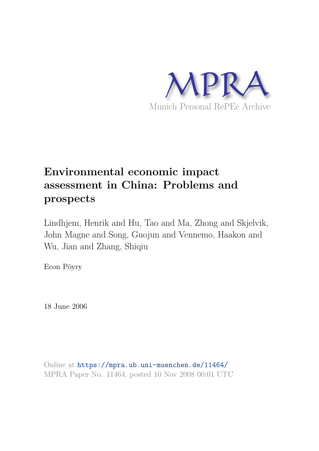

# **Environmental economic impact assessment in China: Problems and prospects**

Lindhjem, Henrik and Hu, Tao and Ma, Zhong and Skjelvik, John Magne and Song, Guojun and Vennemo, Haakon and Wu, Jian and Zhang, Shiqiu

Econ Pöyry

18 June 2006

Online at https://mpra.ub.uni-muenchen.de/11464/ MPRA Paper No. 11464, posted 10 Nov 2008 00:01 UTC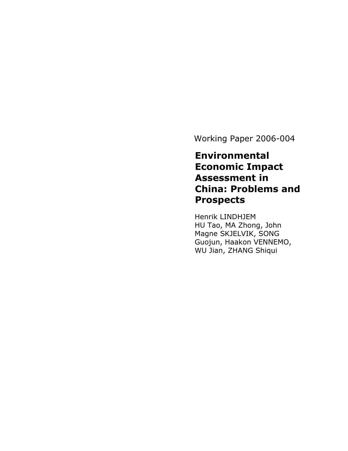Working Paper 2006-004

## **Environmental Economic Impact Assessment in China: Problems and Prospects**

Henrik LINDHJEM HU Tao, MA Zhong, John Magne SKJELVIK, SONG Guojun, Haakon VENNEMO, WU Jian, ZHANG Shiqui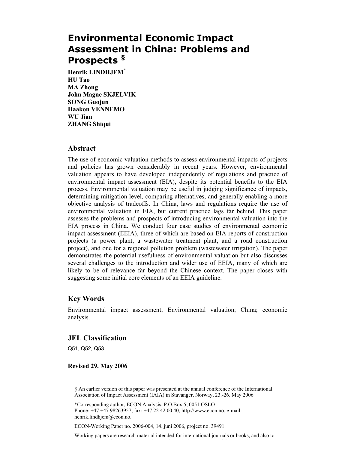## **Environmental Economic Impact Assessment in China: Problems and** Prospects<sup>§</sup>

Henrik LINDHJEM<sup>\*</sup> **HU** Tao **MA Zhong John Magne SKJELVIK SONG Guoiun Haakon VENNEMO** WU Jian **ZHANG Shiqui** 

#### Abstract

The use of economic valuation methods to assess environmental impacts of projects and policies has grown considerably in recent years. However, environmental valuation appears to have developed independently of regulations and practice of environmental impact assessment (EIA), despite its potential benefits to the EIA process. Environmental valuation may be useful in judging significance of impacts, determining mitigation level, comparing alternatives, and generally enabling a more objective analysis of tradeoffs. In China, laws and regulations require the use of environmental valuation in EIA, but current practice lags far behind. This paper assesses the problems and prospects of introducing environmental valuation into the EIA process in China. We conduct four case studies of environmental economic impact assessment (EEIA), three of which are based on EIA reports of construction projects (a power plant, a wastewater treatment plant, and a road construction project), and one for a regional pollution problem (wastewater irrigation). The paper demonstrates the potential usefulness of environmental valuation but also discusses several challenges to the introduction and wider use of EEIA, many of which are likely to be of relevance far beyond the Chinese context. The paper closes with suggesting some initial core elements of an EEIA guideline.

#### **Key Words**

Environmental impact assessment; Environmental valuation; China; economic analysis.

#### **JEL Classification**

Q51, Q52, Q53

**Revised 29. May 2006** 

§ An earlier version of this paper was presented at the annual conference of the International Association of Impact Assessment (IAIA) in Stavanger, Norway, 23.-26. May 2006

\*Corresponding author, ECON Analysis, P.O.Box 5, 0051 OSLO Phone: +47 +47 98263957, fax: +47 22 42 00 40, http://www.econ.no, e-mail: henrik.lindhjem@econ.no.

ECON-Working Paper no. 2006-004, 14. juni 2006, project no. 39491.

Working papers are research material intended for international journals or books, and also to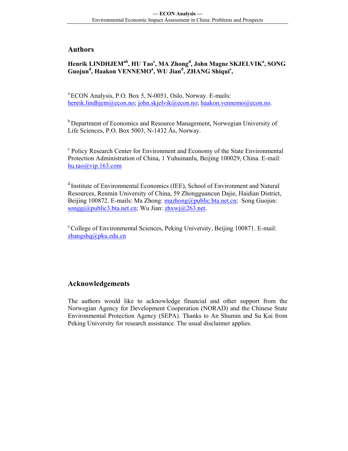### **Authors**

### Henrik LINDHJEM<sup>ab</sup>, HU Tao<sup>c</sup>, MA Zhong<sup>d</sup>, John Magne SKJELVIK<sup>a</sup>, SONG Guojun<sup>d</sup>, Haakon VENNEMO<sup>2</sup>, WU Jian<sup>d</sup>, ZHANG Shiqui<sup>e</sup>,

<sup>a</sup> ECON Analysis, P.O. Box 5, N-0051, Oslo, Norway. E-mails: henrik.lindhjem@econ.no: john.skjelvik@econ.no: haakon.vennemo@econ.no.

<sup>b</sup> Department of Economics and Resource Management, Norwegian University of Life Sciences, P.O. Box 5003, N-1432 Ås, Norway.

<sup>c</sup> Policy Research Center for Environment and Economy of the State Environmental Protection Administration of China, 1 Yuhuinanlu, Beijing 100029, China. E-mail:  $hu.ta$ <sub>O</sub> $(a)$ vip.163.com

<sup>d</sup> Institute of Environmental Economics (IEE), School of Environment and Natural Resources, Renmin University of China, 59 Zhongguancun Dajie, Haidian District, Beijing 100872. E-mails: Ma Zhong: mazhong@public.bta.net.cn; Song Guojun: songgj@public3.bta.net.cn, Wu Jian: zhxwj@263.net.

<sup>e</sup> College of Environmental Sciences, Peking University, Beijing 100871. E-mail:  $zhangsha@pku.edu.cn$ 

## Acknowledgements

The authors would like to acknowledge financial and other support from the Norwegian Agency for Development Cooperation (NORAD) and the Chinese State Environmental Protection Agency (SEPA). Thanks to An Shumin and Su Kai from Peking University for research assistance. The usual disclaimer applies.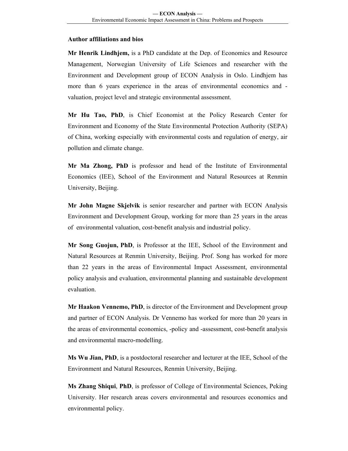#### **Author affiliations and bios**

Mr Henrik Lindhjem, is a PhD candidate at the Dep. of Economics and Resource Management, Norwegian University of Life Sciences and researcher with the Environment and Development group of ECON Analysis in Oslo. Lindhjem has more than 6 years experience in the areas of environmental economics and valuation, project level and strategic environmental assessment.

Mr Hu Tao, PhD, is Chief Economist at the Policy Research Center for Environment and Economy of the State Environmental Protection Authority (SEPA) of China, working especially with environmental costs and regulation of energy, air pollution and climate change.

Mr Ma Zhong, PhD is professor and head of the Institute of Environmental Economics (IEE), School of the Environment and Natural Resources at Renmin University, Beijing.

**Mr John Magne Skjelvik** is senior researcher and partner with ECON Analysis Environment and Development Group, working for more than 25 years in the areas of environmental valuation, cost-benefit analysis and industrial policy.

Mr Song Guojun, PhD, is Professor at the IEE, School of the Environment and Natural Resources at Renmin University, Beijing. Prof. Song has worked for more than 22 years in the areas of Environmental Impact Assessment, environmental policy analysis and evaluation, environmental planning and sustainable development evaluation.

Mr Haakon Vennemo, PhD, is director of the Environment and Development group and partner of ECON Analysis. Dr Vennemo has worked for more than 20 years in the areas of environmental economics, -policy and -assessment, cost-benefit analysis and environmental macro-modelling.

Ms Wu Jian, PhD, is a postdoctoral researcher and lecturer at the IEE, School of the Environment and Natural Resources, Renmin University, Beijing.

Ms Zhang Shiqui, PhD, is professor of College of Environmental Sciences, Peking University. Her research areas covers environmental and resources economics and environmental policy.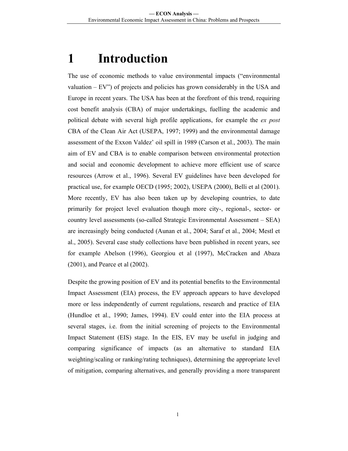#### **Introduction**  $\mathbf 1$

The use of economic methods to value environmental impacts ("environmental" valuation  $- EV$ ) of projects and policies has grown considerably in the USA and Europe in recent years. The USA has been at the forefront of this trend, requiring cost benefit analysis (CBA) of major undertakings, fuelling the academic and political debate with several high profile applications, for example the ex post CBA of the Clean Air Act (USEPA, 1997; 1999) and the environmental damage assessment of the Exxon Valdez' oil spill in 1989 (Carson et al., 2003). The main aim of EV and CBA is to enable comparison between environmental protection and social and economic development to achieve more efficient use of scarce resources (Arrow et al., 1996). Several EV guidelines have been developed for practical use, for example OECD (1995; 2002), USEPA (2000), Belli et al (2001). More recently, EV has also been taken up by developing countries, to date primarily for project level evaluation though more city-, regional-, sector- or country level assessments (so-called Strategic Environmental Assessment – SEA) are increasingly being conducted (Aunan et al., 2004; Saraf et al., 2004; Mestl et al., 2005). Several case study collections have been published in recent years, see for example Abelson (1996), Georgiou et al (1997), McCracken and Abaza  $(2001)$ , and Pearce et al  $(2002)$ .

Despite the growing position of EV and its potential benefits to the Environmental Impact Assessment (EIA) process, the EV approach appears to have developed more or less independently of current regulations, research and practice of EIA (Hundloe et al., 1990; James, 1994). EV could enter into the EIA process at several stages, i.e. from the initial screening of projects to the Environmental Impact Statement (EIS) stage. In the EIS, EV may be useful in judging and comparing significance of impacts (as an alternative to standard EIA weighting/scaling or ranking/rating techniques), determining the appropriate level of mitigation, comparing alternatives, and generally providing a more transparent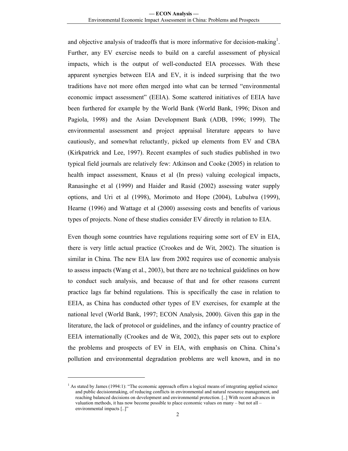and objective analysis of tradeoffs that is more informative for decision-making<sup>1</sup>. Further, any EV exercise needs to build on a careful assessment of physical impacts, which is the output of well-conducted EIA processes. With these apparent synergies between EIA and EV, it is indeed surprising that the two traditions have not more often merged into what can be termed "environmental economic impact assessment" (EEIA). Some scattered initiatives of EEIA have been furthered for example by the World Bank (World Bank, 1996; Dixon and Pagiola, 1998) and the Asian Development Bank (ADB, 1996; 1999). The environmental assessment and project appraisal literature appears to have cautiously, and somewhat reluctantly, picked up elements from EV and CBA (Kirkpatrick and Lee, 1997). Recent examples of such studies published in two typical field journals are relatively few: Atkinson and Cooke (2005) in relation to health impact assessment, Knaus et al (In press) valuing ecological impacts, Ranasinghe et al (1999) and Haider and Rasid (2002) assessing water supply options, and Uri et al (1998), Morimoto and Hope (2004), Lubulwa (1999), Hearne (1996) and Wattage et al (2000) assessing costs and benefits of various types of projects. None of these studies consider EV directly in relation to EIA.

Even though some countries have regulations requiring some sort of EV in EIA, there is very little actual practice (Crookes and de Wit, 2002). The situation is similar in China. The new EIA law from 2002 requires use of economic analysis to assess impacts (Wang et al., 2003), but there are no technical guidelines on how to conduct such analysis, and because of that and for other reasons current practice lags far behind regulations. This is specifically the case in relation to EEIA, as China has conducted other types of EV exercises, for example at the national level (World Bank, 1997; ECON Analysis, 2000). Given this gap in the literature, the lack of protocol or guidelines, and the infancy of country practice of EEIA internationally (Crookes and de Wit, 2002), this paper sets out to explore the problems and prospects of EV in EIA, with emphasis on China. China's pollution and environmental degradation problems are well known, and in no

<sup>&</sup>lt;sup>1</sup> As stated by James (1994:1): "The economic approach offers a logical means of integrating applied science and public decisionmaking, of reducing conflicts in environmental and natural resource management, and reaching balanced decisions on development and environmental protection. [..] With recent advances in valuation methods, it has now become possible to place economic values on many – but not all – environmental impacts [..]"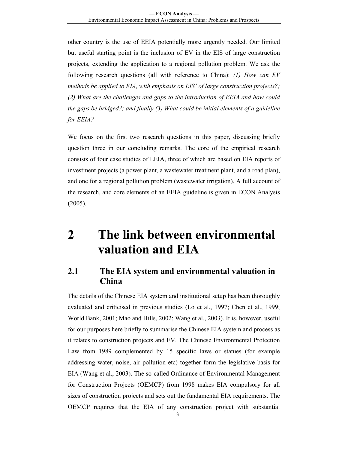other country is the use of EEIA potentially more urgently needed. Our limited but useful starting point is the inclusion of EV in the EIS of large construction projects, extending the application to a regional pollution problem. We ask the following research questions (all with reference to China):  $(1)$  How can EV methods be applied to EIA, with emphasis on EIS' of large construction projects?; (2) What are the challenges and gaps to the introduction of EEIA and how could the gaps be bridged?; and finally (3) What could be initial elements of a guideline for EEIA?

We focus on the first two research questions in this paper, discussing briefly question three in our concluding remarks. The core of the empirical research consists of four case studies of EEIA, three of which are based on EIA reports of investment projects (a power plant, a wastewater treatment plant, and a road plan), and one for a regional pollution problem (wastewater irrigation). A full account of the research, and core elements of an EEIA guideline is given in ECON Analysis  $(2005).$ 

## $\overline{2}$ The link between environmental valuation and EIA

#### The EIA system and environmental valuation in 2.1 China

The details of the Chinese EIA system and institutional setup has been thoroughly evaluated and criticised in previous studies (Lo et al., 1997; Chen et al., 1999; World Bank, 2001; Mao and Hills, 2002; Wang et al., 2003). It is, however, useful for our purposes here briefly to summarise the Chinese EIA system and process as it relates to construction projects and EV. The Chinese Environmental Protection Law from 1989 complemented by 15 specific laws or statues (for example addressing water, noise, air pollution etc) together form the legislative basis for EIA (Wang et al., 2003). The so-called Ordinance of Environmental Management for Construction Projects (OEMCP) from 1998 makes EIA compulsory for all sizes of construction projects and sets out the fundamental EIA requirements. The OEMCP requires that the EIA of any construction project with substantial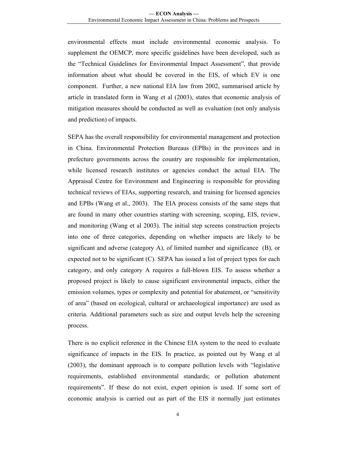environmental effects must include environmental economic analysis. To supplement the OEMCP, more specific guidelines have been developed, such as the "Technical Guidelines for Environmental Impact Assessment", that provide information about what should be covered in the EIS, of which EV is one component. Further, a new national EIA law from 2002, summarised article by article in translated form in Wang et al (2003), states that economic analysis of mitigation measures should be conducted as well as evaluation (not only analysis and prediction) of impacts.

SEPA has the overall responsibility for environmental management and protection in China. Environmental Protection Bureaus (EPBs) in the provinces and in prefecture governments across the country are responsible for implementation, while licensed research institutes or agencies conduct the actual EIA. The Appraisal Centre for Environment and Engineering is responsible for providing technical reviews of EIAs, supporting research, and training for licensed agencies and EPBs (Wang et al., 2003). The EIA process consists of the same steps that are found in many other countries starting with screening, scoping, EIS, review, and monitoring (Wang et al 2003). The initial step screens construction projects into one of three categories, depending on whether impacts are likely to be significant and adverse (category A), of limited number and significance (B), or expected not to be significant (C). SEPA has issued a list of project types for each category, and only category A requires a full-blown EIS. To assess whether a proposed project is likely to cause significant environmental impacts, either the emission volumes, types or complexity and potential for abatement, or "sensitivity" of area" (based on ecological, cultural or archaeological importance) are used as criteria. Additional parameters such as size and output levels help the screening process.

There is no explicit reference in the Chinese EIA system to the need to evaluate significance of impacts in the EIS. In practice, as pointed out by Wang et al (2003), the dominant approach is to compare pollution levels with "legislative" requirements, established environmental standards; or pollution abatement requirements". If these do not exist, expert opinion is used. If some sort of economic analysis is carried out as part of the EIS it normally just estimates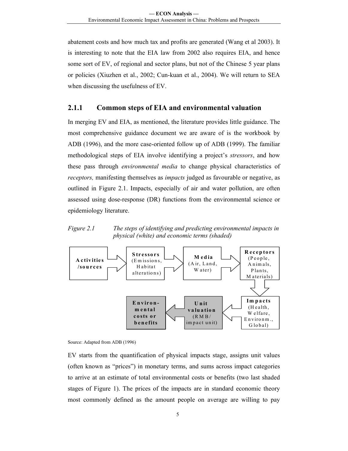abatement costs and how much tax and profits are generated (Wang et al 2003). It is interesting to note that the EIA law from 2002 also requires EIA, and hence some sort of EV, of regional and sector plans, but not of the Chinese 5 year plans or policies (Xiuzhen et al., 2002; Cun-kuan et al., 2004). We will return to SEA when discussing the usefulness of EV.

#### $2.1.1$ Common steps of EIA and environmental valuation

In merging EV and EIA, as mentioned, the literature provides little guidance. The most comprehensive guidance document we are aware of is the workbook by ADB (1996), and the more case-oriented follow up of ADB (1999). The familiar methodological steps of EIA involve identifying a project's *stressors*, and how these pass through *environmental media* to change physical characteristics of *receptors*, manifesting themselves as *impacts* judged as favourable or negative, as outlined in Figure 2.1. Impacts, especially of air and water pollution, are often assessed using dose-response (DR) functions from the environmental science or epidemiology literature.

Figure 2.1 The steps of identifying and predicting environmental impacts in physical (white) and economic terms (shaded)



#### Source: Adapted from ADB (1996)

EV starts from the quantification of physical impacts stage, assigns unit values (often known as "prices") in monetary terms, and sums across impact categories to arrive at an estimate of total environmental costs or benefits (two last shaded stages of Figure 1). The prices of the impacts are in standard economic theory most commonly defined as the amount people on average are willing to pay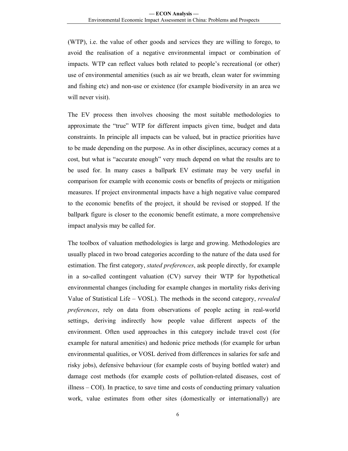(WTP), i.e. the value of other goods and services they are willing to forego, to avoid the realisation of a negative environmental impact or combination of impacts. WTP can reflect values both related to people's recreational (or other) use of environmental amenities (such as air we breath, clean water for swimming and fishing etc) and non-use or existence (for example biodiversity in an area we will never visit).

The EV process then involves choosing the most suitable methodologies to approximate the "true" WTP for different impacts given time, budget and data constraints. In principle all impacts can be valued, but in practice priorities have to be made depending on the purpose. As in other disciplines, accuracy comes at a cost, but what is "accurate enough" very much depend on what the results are to be used for. In many cases a ballpark EV estimate may be very useful in comparison for example with economic costs or benefits of projects or mitigation measures. If project environmental impacts have a high negative value compared to the economic benefits of the project, it should be revised or stopped. If the ballpark figure is closer to the economic benefit estimate, a more comprehensive impact analysis may be called for.

The toolbox of valuation methodologies is large and growing. Methodologies are usually placed in two broad categories according to the nature of the data used for estimation. The first category, *stated preferences*, ask people directly, for example in a so-called contingent valuation (CV) survey their WTP for hypothetical environmental changes (including for example changes in mortality risks deriving Value of Statistical Life – VOSL). The methods in the second category, revealed preferences, rely on data from observations of people acting in real-world settings, deriving indirectly how people value different aspects of the environment. Often used approaches in this category include travel cost (for example for natural amenities) and hedonic price methods (for example for urban environmental qualities, or VOSL derived from differences in salaries for safe and risky jobs), defensive behaviour (for example costs of buying bottled water) and damage cost methods (for example costs of pollution-related diseases, cost of illness  $-$  COI). In practice, to save time and costs of conducting primary valuation work, value estimates from other sites (domestically or internationally) are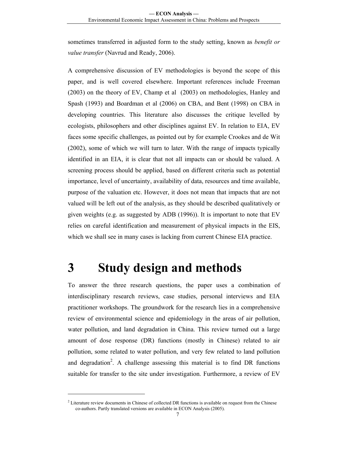sometimes transferred in adjusted form to the study setting, known as *benefit or* value transfer (Navrud and Ready, 2006).

A comprehensive discussion of EV methodologies is beyond the scope of this paper, and is well covered elsewhere. Important references include Freeman  $(2003)$  on the theory of EV, Champ et al  $(2003)$  on methodologies, Hanley and Spash (1993) and Boardman et al (2006) on CBA, and Bent (1998) on CBA in developing countries. This literature also discusses the critique levelled by ecologists, philosophers and other disciplines against EV. In relation to EIA, EV faces some specific challenges, as pointed out by for example Crookes and de Wit (2002), some of which we will turn to later. With the range of impacts typically identified in an EIA, it is clear that not all impacts can or should be valued. A screening process should be applied, based on different criteria such as potential importance, level of uncertainty, availability of data, resources and time available, purpose of the valuation etc. However, it does not mean that impacts that are not valued will be left out of the analysis, as they should be described qualitatively or given weights (e.g. as suggested by ADB (1996)). It is important to note that EV relies on careful identification and measurement of physical impacts in the EIS, which we shall see in many cases is lacking from current Chinese EIA practice.

#### **Study design and methods** 3

To answer the three research questions, the paper uses a combination of interdisciplinary research reviews, case studies, personal interviews and EIA practitioner workshops. The groundwork for the research lies in a comprehensive review of environmental science and epidemiology in the areas of air pollution, water pollution, and land degradation in China. This review turned out a large amount of dose response (DR) functions (mostly in Chinese) related to air pollution, some related to water pollution, and very few related to land pollution and degradation<sup>2</sup>. A challenge assessing this material is to find DR functions suitable for transfer to the site under investigation. Furthermore, a review of EV

<sup>&</sup>lt;sup>2</sup> Literature review documents in Chinese of collected DR functions is available on request from the Chinese co-authors. Partly translated versions are available in ECON Analysis (2005).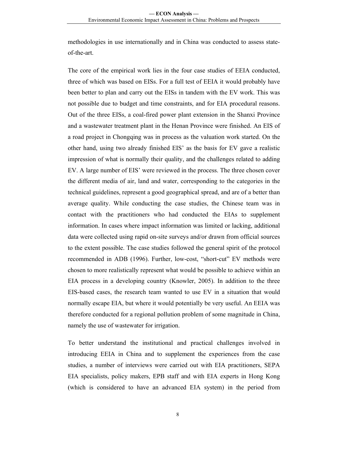methodologies in use internationally and in China was conducted to assess stateof-the-art.

The core of the empirical work lies in the four case studies of EEIA conducted, three of which was based on EISs. For a full test of EEIA it would probably have been better to plan and carry out the EISs in tandem with the EV work. This was not possible due to budget and time constraints, and for EIA procedural reasons. Out of the three EISs, a coal-fired power plant extension in the Shanxi Province and a wastewater treatment plant in the Henan Province were finished. An EIS of a road project in Chongqing was in process as the valuation work started. On the other hand, using two already finished EIS' as the basis for EV gave a realistic impression of what is normally their quality, and the challenges related to adding EV. A large number of EIS' were reviewed in the process. The three chosen cover the different media of air, land and water, corresponding to the categories in the technical guidelines, represent a good geographical spread, and are of a better than average quality. While conducting the case studies, the Chinese team was in contact with the practitioners who had conducted the EIAs to supplement information. In cases where impact information was limited or lacking, additional data were collected using rapid on-site surveys and/or drawn from official sources to the extent possible. The case studies followed the general spirit of the protocol recommended in ADB (1996). Further, low-cost, "short-cut" EV methods were chosen to more realistically represent what would be possible to achieve within an EIA process in a developing country (Knowler, 2005). In addition to the three EIS-based cases, the research team wanted to use EV in a situation that would normally escape EIA, but where it would potentially be very useful. An EEIA was therefore conducted for a regional pollution problem of some magnitude in China, namely the use of wastewater for irrigation.

To better understand the institutional and practical challenges involved in introducing EEIA in China and to supplement the experiences from the case studies, a number of interviews were carried out with EIA practitioners, SEPA EIA specialists, policy makers, EPB staff and with EIA experts in Hong Kong (which is considered to have an advanced EIA system) in the period from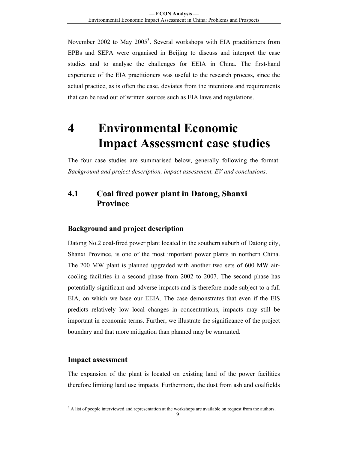November 2002 to May 2005<sup>3</sup>. Several workshops with EIA practitioners from EPBs and SEPA were organised in Beijing to discuss and interpret the case studies and to analyse the challenges for EEIA in China. The first-hand experience of the EIA practitioners was useful to the research process, since the actual practice, as is often the case, deviates from the intentions and requirements that can be read out of written sources such as EIA laws and regulations.

## **Environmental Economic**  $\boldsymbol{\Lambda}$ **Impact Assessment case studies**

The four case studies are summarised below, generally following the format: Background and project description, impact assessment, EV and conclusions.

#### Coal fired power plant in Datong, Shanxi 4.1 **Province**

### **Background and project description**

Datong No.2 coal-fired power plant located in the southern suburb of Datong city, Shanxi Province, is one of the most important power plants in northern China. The 200 MW plant is planned upgraded with another two sets of 600 MW aircooling facilities in a second phase from 2002 to 2007. The second phase has potentially significant and adverse impacts and is therefore made subject to a full EIA, on which we base our EEIA. The case demonstrates that even if the EIS predicts relatively low local changes in concentrations, impacts may still be important in economic terms. Further, we illustrate the significance of the project boundary and that more mitigation than planned may be warranted.

### **Impact assessment**

The expansion of the plant is located on existing land of the power facilities therefore limiting land use impacts. Furthermore, the dust from ash and coalfields

 $3$  A list of people interviewed and representation at the workshops are available on request from the authors.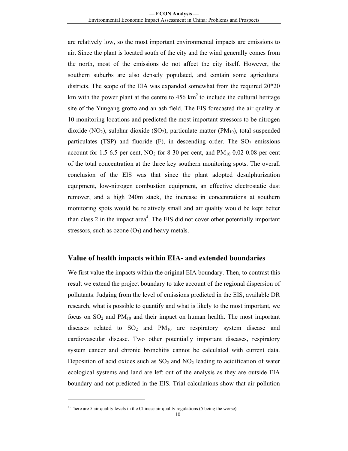are relatively low, so the most important environmental impacts are emissions to air. Since the plant is located south of the city and the wind generally comes from the north, most of the emissions do not affect the city itself. However, the southern suburbs are also densely populated, and contain some agricultural districts. The scope of the EIA was expanded somewhat from the required 20\*20 km with the power plant at the centre to  $456 \text{ km}^2$  to include the cultural heritage site of the Yungang grotto and an ash field. The EIS forecasted the air quality at 10 monitoring locations and predicted the most important stressors to be nitrogen dioxide (NO<sub>2</sub>), sulphur dioxide (SO<sub>2</sub>), particulate matter (PM<sub>10</sub>), total suspended particulates (TSP) and fluoride  $(F)$ , in descending order. The  $SO<sub>2</sub>$  emissions account for 1.5-6.5 per cent,  $NO<sub>2</sub>$  for 8-30 per cent, and  $PM<sub>10</sub>$  0.02-0.08 per cent of the total concentration at the three key southern monitoring spots. The overall conclusion of the EIS was that since the plant adopted desulphurization equipment, low-nitrogen combustion equipment, an effective electrostatic dust remover, and a high 240m stack, the increase in concentrations at southern monitoring spots would be relatively small and air quality would be kept better than class 2 in the impact area<sup>4</sup>. The EIS did not cover other potentially important stressors, such as ozone  $(O_3)$  and heavy metals.

#### Value of health impacts within EIA- and extended boundaries

We first value the impacts within the original EIA boundary. Then, to contrast this result we extend the project boundary to take account of the regional dispersion of pollutants. Judging from the level of emissions predicted in the EIS, available DR research, what is possible to quantify and what is likely to the most important, we focus on  $SO_2$  and  $PM_{10}$  and their impact on human health. The most important diseases related to  $SO_2$  and  $PM_{10}$  are respiratory system disease and cardiovascular disease. Two other potentially important diseases, respiratory system cancer and chronic bronchitis cannot be calculated with current data. Deposition of acid oxides such as  $SO_2$  and  $NO_2$  leading to acidification of water ecological systems and land are left out of the analysis as they are outside EIA boundary and not predicted in the EIS. Trial calculations show that air pollution

 $4$  There are 5 air quality levels in the Chinese air quality regulations (5 being the worse).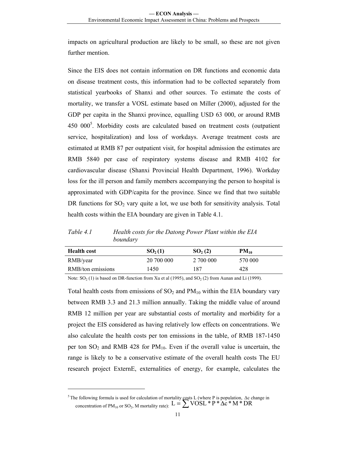impacts on agricultural production are likely to be small, so these are not given further mention.

Since the EIS does not contain information on DR functions and economic data on disease treatment costs, this information had to be collected separately from statistical yearbooks of Shanxi and other sources. To estimate the costs of mortality, we transfer a VOSL estimate based on Miller (2000), adjusted for the GDP per capita in the Shanxi province, equalling USD 63 000, or around RMB  $450\,000^5$ . Morbidity costs are calculated based on treatment costs (outpatient service, hospitalization) and loss of workdays. Average treatment costs are estimated at RMB 87 per outpatient visit, for hospital admission the estimates are RMB 5840 per case of respiratory systems disease and RMB 4102 for cardiovascular disease (Shanxi Provincial Health Department, 1996). Workday loss for the ill person and family members accompanying the person to hospital is approximated with GDP/capita for the province. Since we find that two suitable DR functions for  $SO_2$  vary quite a lot, we use both for sensitivity analysis. Total health costs within the EIA boundary are given in Table 4.1.

Table 4.1 Health costs for the Datong Power Plant within the EIA boundary

| <b>Health cost</b> | SO <sub>2</sub> (1) | $SO_2(2)$ | $PM_{10}$ |  |
|--------------------|---------------------|-----------|-----------|--|
| RMB/year           | 20 700 000          | 2 700 000 | 570 000   |  |
| RMB/ton emissions  | 1450                | 187       | 428       |  |

Note:  $SO_2(1)$  is based on DR-function from Xu et al (1995), and  $SO_2(2)$  from Aunan and Li (1999).

Total health costs from emissions of  $SO_2$  and  $PM_{10}$  within the EIA boundary vary between RMB 3.3 and 21.3 million annually. Taking the middle value of around RMB 12 million per year are substantial costs of mortality and morbidity for a project the EIS considered as having relatively low effects on concentrations. We also calculate the health costs per ton emissions in the table, of RMB 187-1450 per ton  $SO_2$  and RMB 428 for  $PM_{10}$ . Even if the overall value is uncertain, the range is likely to be a conservative estimate of the overall health costs The EU research project ExternE, externalities of energy, for example, calculates the

<sup>&</sup>lt;sup>5</sup> The following formula is used for calculation of mortality costs L (where P is population,  $\Delta c$  change in concentration of PM<sub>10</sub> or SO<sub>2</sub>, M mortality rate):  $L = \sum VOSL * P * \Delta c * M * DR$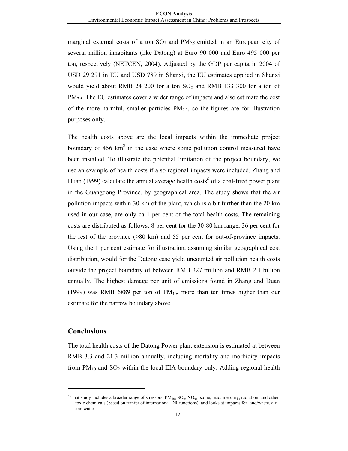marginal external costs of a ton  $SO_2$  and  $PM_{2,5}$  emitted in an European city of several million inhabitants (like Datong) at Euro 90 000 and Euro 495 000 per ton, respectively (NETCEN, 2004). Adjusted by the GDP per capita in 2004 of USD 29 291 in EU and USD 789 in Shanxi, the EU estimates applied in Shanxi would yield about RMB 24 200 for a ton  $SO_2$  and RMB 133 300 for a ton of  $PM_{2.5}$ . The EU estimates cover a wider range of impacts and also estimate the cost of the more harmful, smaller particles  $PM_{2.5}$ , so the figures are for illustration purposes only.

The health costs above are the local impacts within the immediate project boundary of 456 km<sup>2</sup> in the case where some pollution control measured have been installed. To illustrate the potential limitation of the project boundary, we use an example of health costs if also regional impacts were included. Zhang and Duan (1999) calculate the annual average health costs<sup>6</sup> of a coal-fired power plant in the Guangdong Province, by geographical area. The study shows that the air pollution impacts within 30 km of the plant, which is a bit further than the 20 km used in our case, are only ca 1 per cent of the total health costs. The remaining costs are distributed as follows: 8 per cent for the 30-80 km range, 36 per cent for the rest of the province  $( >80 \text{ km})$  and 55 per cent for out-of-province impacts. Using the 1 per cent estimate for illustration, assuming similar geographical cost distribution, would for the Datong case yield uncounted air pollution health costs outside the project boundary of between RMB 327 million and RMB 2.1 billion annually. The highest damage per unit of emissions found in Zhang and Duan (1999) was RMB 6889 per ton of  $PM_{10}$ , more than ten times higher than our estimate for the narrow boundary above.

#### **Conclusions**

The total health costs of the Datong Power plant extension is estimated at between RMB 3.3 and 21.3 million annually, including mortality and morbidity impacts from  $PM_{10}$  and  $SO_2$  within the local EIA boundary only. Adding regional health

 $6$  That study includes a broader range of stressors,  $PM_{10}$ ,  $SO_x$ ,  $NO_x$ , ozone, lead, mercury, radiation, and other toxic chemicals (based on tranfer of international DR functions), and looks at impacts for land/waste, air and water.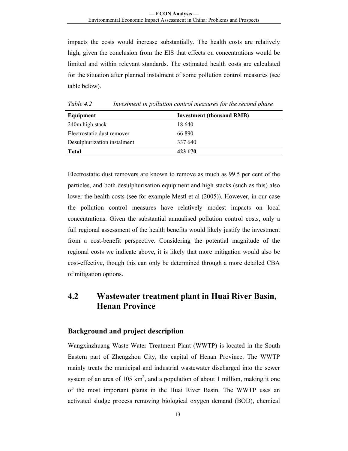impacts the costs would increase substantially. The health costs are relatively high, given the conclusion from the EIS that effects on concentrations would be limited and within relevant standards. The estimated health costs are calculated for the situation after planned instalment of some pollution control measures (see table below).

| Equipment                   | <b>Investment (thousand RMB)</b> |
|-----------------------------|----------------------------------|
| 240m high stack             | 18 640                           |
| Electrostatic dust remover  | 66 890                           |
| Desulphurization instalment | 337 640                          |
| <b>Total</b>                | 423 170                          |

Table 4.2 Investment in pollution control measures for the second phase

Electrostatic dust removers are known to remove as much as 99.5 per cent of the particles, and both desulphurisation equipment and high stacks (such as this) also lower the health costs (see for example Mestl et al (2005)). However, in our case the pollution control measures have relatively modest impacts on local concentrations. Given the substantial annualised pollution control costs, only a full regional assessment of the health benefits would likely justify the investment from a cost-benefit perspective. Considering the potential magnitude of the regional costs we indicate above, it is likely that more mitigation would also be cost-effective, though this can only be determined through a more detailed CBA of mitigation options.

#### $4.2$ Wastewater treatment plant in Huai River Basin, **Henan Province**

#### **Background and project description**

Wangxinzhuang Waste Water Treatment Plant (WWTP) is located in the South Eastern part of Zhengzhou City, the capital of Henan Province. The WWTP mainly treats the municipal and industrial wastewater discharged into the sewer system of an area of 105  $km^2$ , and a population of about 1 million, making it one of the most important plants in the Huai River Basin. The WWTP uses an activated sludge process removing biological oxygen demand (BOD), chemical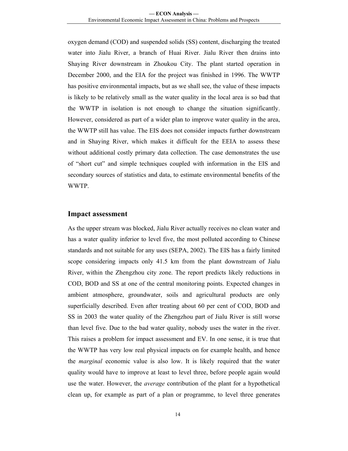oxygen demand (COD) and suspended solids (SS) content, discharging the treated water into Jialu River, a branch of Huai River. Jialu River then drains into Shaying River downstream in Zhoukou City. The plant started operation in December 2000, and the EIA for the project was finished in 1996. The WWTP has positive environmental impacts, but as we shall see, the value of these impacts is likely to be relatively small as the water quality in the local area is so bad that the WWTP in isolation is not enough to change the situation significantly. However, considered as part of a wider plan to improve water quality in the area, the WWTP still has value. The EIS does not consider impacts further downstream and in Shaying River, which makes it difficult for the EEIA to assess these without additional costly primary data collection. The case demonstrates the use of "short cut" and simple techniques coupled with information in the EIS and secondary sources of statistics and data, to estimate environmental benefits of the WWTP.

#### **Impact assessment**

As the upper stream was blocked, Jialu River actually receives no clean water and has a water quality inferior to level five, the most polluted according to Chinese standards and not suitable for any uses (SEPA, 2002). The EIS has a fairly limited scope considering impacts only 41.5 km from the plant downstream of Jialu River, within the Zhengzhou city zone. The report predicts likely reductions in COD, BOD and SS at one of the central monitoring points. Expected changes in ambient atmosphere, groundwater, soils and agricultural products are only superficially described. Even after treating about 60 per cent of COD, BOD and SS in 2003 the water quality of the Zhengzhou part of Jialu River is still worse than level five. Due to the bad water quality, nobody uses the water in the river. This raises a problem for impact assessment and EV. In one sense, it is true that the WWTP has very low real physical impacts on for example health, and hence the *marginal* economic value is also low. It is likely required that the water quality would have to improve at least to level three, before people again would use the water. However, the *average* contribution of the plant for a hypothetical clean up, for example as part of a plan or programme, to level three generates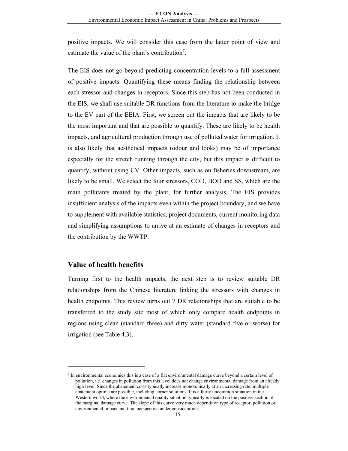positive impacts. We will consider this case from the latter point of view and estimate the value of the plant's contribution<sup>7</sup>.

The EIS does not go beyond predicting concentration levels to a full assessment of positive impacts. Quantifying these means finding the relationship between each stressor and changes in receptors. Since this step has not been conducted in the EIS, we shall use suitable DR functions from the literature to make the bridge to the EV part of the EEIA. First, we screen out the impacts that are likely to be the most important and that are possible to quantify. These are likely to be health impacts, and agricultural production through use of polluted water for irrigation. It is also likely that aesthetical impacts (odour and looks) may be of importance especially for the stretch running through the city, but this impact is difficult to quantify, without using CV. Other impacts, such as on fisheries downstream, are likely to be small. We select the four stressors, COD, BOD and SS, which are the main pollutants treated by the plant, for further analysis. The EIS provides insufficient analysis of the impacts even within the project boundary, and we have to supplement with available statistics, project documents, current monitoring data and simplifying assumptions to arrive at an estimate of changes in receptors and the contribution by the WWTP.

#### Value of health benefits

Turning first to the health impacts, the next step is to review suitable DR relationships from the Chinese literature linking the stressors with changes in health endpoints. This review turns out 7 DR relationships that are suitable to be transferred to the study site most of which only compare health endpoints in regions using clean (standard three) and dirty water (standard five or worse) for irrigation (see Table 4.3).

<sup>&</sup>lt;sup>7</sup> In environmental economics this is a case of a flat environmental damage curve beyond a certain level of pollution, i.e. changes in pollution from this level does not change environmental damage from an already high level. Since the abatement costs typically increase monotonically at an increasing rate, multiple abatement optima are possible, including corner solutions. It is a fairly uncommon situation in the Western world, where the environmental quality situation typically is located on the positive section of the marginal damage curve. The slope of this curve very much depends on type of receptor, pollution or environmental impact and time perspective under consideration.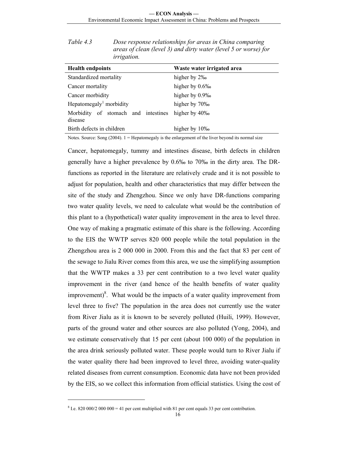Table 4.3 Dose response relationships for areas in China comparing areas of clean (level 3) and dirty water (level 5 or worse) for irrigation.

| <b>Health endpoints</b>                        | Waste water irrigated area |  |  |
|------------------------------------------------|----------------------------|--|--|
| Standardized mortality                         | higher by 2‰               |  |  |
| Cancer mortality                               | higher by $0.6\%$          |  |  |
| Cancer morbidity                               | higher by $0.9\%$          |  |  |
| Hepatomegaly <sup>1</sup> morbidity            | higher by 70‰              |  |  |
| Morbidity of stomach and intestines<br>disease | higher by $40\%$           |  |  |
| Birth defects in children                      | higher by $10\%$           |  |  |

Notes. Source: Song  $(2004)$ . 1 = Hepatomegaly is the enlargement of the liver beyond its normal size

Cancer, hepatomegaly, tummy and intestines disease, birth defects in children generally have a higher prevalence by 0.6‰ to 70‰ in the dirty area. The DRfunctions as reported in the literature are relatively crude and it is not possible to adjust for population, health and other characteristics that may differ between the site of the study and Zhengzhou. Since we only have DR-functions comparing two water quality levels, we need to calculate what would be the contribution of this plant to a (hypothetical) water quality improvement in the area to level three. One way of making a pragmatic estimate of this share is the following. According to the EIS the WWTP serves 820 000 people while the total population in the Zhengzhou area is  $2\,000\,000$  in  $2000$ . From this and the fact that 83 per cent of the sewage to Jialu River comes from this area, we use the simplifying assumption that the WWTP makes a 33 per cent contribution to a two level water quality improvement in the river (and hence of the health benefits of water quality improvement)<sup>8</sup>. What would be the impacts of a water quality improvement from level three to five? The population in the area does not currently use the water from River Jialu as it is known to be severely polluted (Huili, 1999). However, parts of the ground water and other sources are also polluted (Yong, 2004), and we estimate conservatively that 15 per cent (about 100 000) of the population in the area drink seriously polluted water. These people would turn to River Jialu if the water quality there had been improved to level three, avoiding water-quality related diseases from current consumption. Economic data have not been provided by the EIS, so we collect this information from official statistics. Using the cost of

 $8$  I.e. 820 000/2 000 000 = 41 per cent multiplied with 81 per cent equals 33 per cent contribution.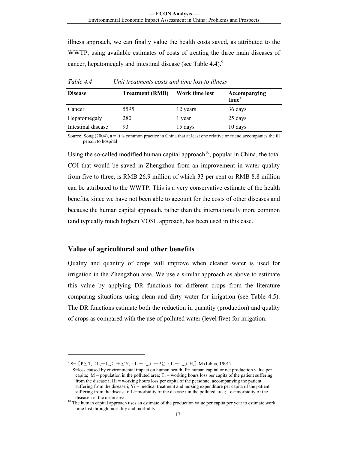illness approach, we can finally value the health costs saved, as attributed to the WWTP, using available estimates of costs of treating the three main diseases of cancer, hepatomegaly and intestinal disease (see Table 4.4).

| <b>Disease</b>     | <b>Treatment (RMB)</b> | Work time lost | Accompanying<br>time <sup>a</sup> |
|--------------------|------------------------|----------------|-----------------------------------|
| Cancer             | 5595                   | 12 years       | 36 days                           |
| Hepatomegaly       | 280                    | l year         | 25 days                           |
| Intestinal disease | 93                     | 15 days        | 10 days                           |

Table 4.4 Unit treatments costs and time lost to illness

Source: Song  $(2004)$ ,  $a =$  It is common practice in China that at least one relative or friend accompanies the ill person to hospital

Using the so-called modified human capital approach<sup>10</sup>, popular in China, the total COI that would be saved in Zhengzhou from an improvement in water quality from five to three, is RMB 26.9 million of which 33 per cent or RMB 8.8 million can be attributed to the WWTP. This is a very conservative estimate of the health benefits, since we have not been able to account for the costs of other diseases and because the human capital approach, rather than the internationally more common (and typically much higher) VOSL approach, has been used in this case.

#### Value of agricultural and other benefits

Quality and quantity of crops will improve when cleaner water is used for irrigation in the Zhengzhou area. We use a similar approach as above to estimate this value by applying DR functions for different crops from the literature comparing situations using clean and dirty water for irrigation (see Table 4.5). The DR functions estimate both the reduction in quantity (production) and quality of crops as compared with the use of polluted water (level five) for irrigation.

<sup>&</sup>lt;sup>9</sup> S =  $[P\Sigma T_i (L_i - L_{oi}) + \Sigma Y_i (L_i - L_{oi}) + P\Sigma (L_i - L_{oi}) H_i] M$  (Lihua, 1991)

S=loss caused by environmental impact on human health; P= human capital or net production value per capita;  $M =$  population in the polluted area;  $Ti =$  working hours loss per capita of the patient suffering from the disease i;  $Hi =$  working hours loss per capita of the personnel accompanying the patient suffering from the disease i;  $yi$  = medical treatment and nursing expenditure per capita of the patient suffering from the disease i; Li=morbidity of the disease i in the polluted area; Loi=morbidity of the disease i in the clean area.

<sup>&</sup>lt;sup>10</sup> The human capital approach uses an estimate of the production value per capita per year to estimate work time lost through mortality and morbidity.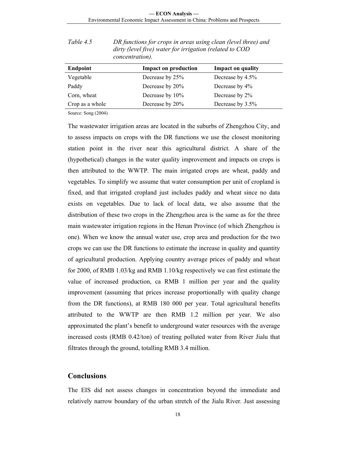Table 4.5 DR functions for crops in areas using clean (level three) and dirty (level five) water for irrigation (related to COD concentration).

| <b>Impact on production</b> | <b>Impact on quality</b> |
|-----------------------------|--------------------------|
| Decrease by 25%             | Decrease by 4.5%         |
| Decrease by 20%             | Decrease by 4%           |
| Decrease by 10%             | Decrease by 2%           |
| Decrease by 20%             | Decrease by 3.5%         |
|                             |                          |

Source: Song (2004)

The was tewater irrigation areas are located in the suburbs of Zhengzhou City, and to assess impacts on crops with the DR functions we use the closest monitoring station point in the river near this agricultural district. A share of the (hypothetical) changes in the water quality improvement and impacts on crops is then attributed to the WWTP. The main irrigated crops are wheat, paddy and vegetables. To simplify we assume that water consumption per unit of cropland is fixed, and that irrigated cropland just includes paddy and wheat since no data exists on vegetables. Due to lack of local data, we also assume that the distribution of these two crops in the Zhengzhou area is the same as for the three main wastewater irrigation regions in the Henan Province (of which Zhengzhou is one). When we know the annual water use, crop area and production for the two crops we can use the DR functions to estimate the increase in quality and quantity of agricultural production. Applying country average prices of paddy and wheat for 2000, of RMB 1.03/kg and RMB 1.10/kg respectively we can first estimate the value of increased production, ca RMB 1 million per year and the quality improvement (assuming that prices increase proportionally with quality change from the DR functions), at RMB 180 000 per year. Total agricultural benefits attributed to the WWTP are then RMB 1.2 million per year. We also approximated the plant's benefit to underground water resources with the average increased costs (RMB 0.42/ton) of treating polluted water from River Jialu that filtrates through the ground, totalling RMB 3.4 million.

#### **Conclusions**

The EIS did not assess changes in concentration beyond the immediate and relatively narrow boundary of the urban stretch of the Jialu River. Just assessing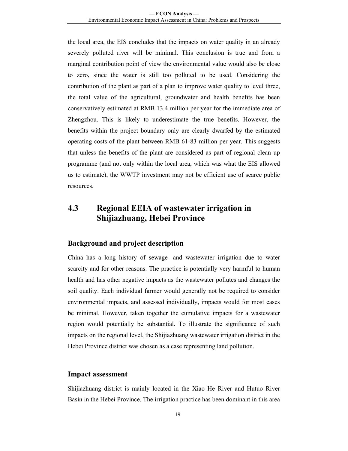the local area, the EIS concludes that the impacts on water quality in an already severely polluted river will be minimal. This conclusion is true and from a marginal contribution point of view the environmental value would also be close to zero, since the water is still too polluted to be used. Considering the contribution of the plant as part of a plan to improve water quality to level three, the total value of the agricultural, groundwater and health benefits has been conservatively estimated at RMB 13.4 million per year for the immediate area of Zhengzhou. This is likely to underestimate the true benefits. However, the benefits within the project boundary only are clearly dwarfed by the estimated operating costs of the plant between RMB 61-83 million per year. This suggests that unless the benefits of the plant are considered as part of regional clean up programme (and not only within the local area, which was what the EIS allowed us to estimate), the WWTP investment may not be efficient use of scarce public resources.

#### Regional EEIA of wastewater irrigation in 4.3 Shijiazhuang, Hebei Province

### **Background and project description**

China has a long history of sewage- and wastewater irrigation due to water scarcity and for other reasons. The practice is potentially very harmful to human health and has other negative impacts as the wastewater pollutes and changes the soil quality. Each individual farmer would generally not be required to consider environmental impacts, and assessed individually, impacts would for most cases be minimal. However, taken together the cumulative impacts for a wastewater region would potentially be substantial. To illustrate the significance of such impacts on the regional level, the Shijiazhuang wastewater irrigation district in the Hebei Province district was chosen as a case representing land pollution.

#### **Impact assessment**

Shijiazhuang district is mainly located in the Xiao He River and Hutuo River Basin in the Hebei Province. The irrigation practice has been dominant in this area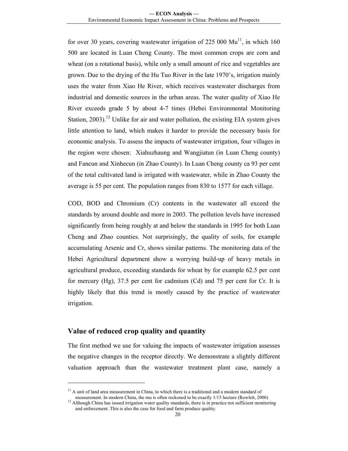for over 30 years, covering wastewater irrigation of 225 000  $\text{Mu}^{11}$ , in which 160 500 are located in Luan Cheng County. The most common crops are corn and wheat (on a rotational basis), while only a small amount of rice and vegetables are grown. Due to the drying of the Hu Tuo River in the late 1970's, irrigation mainly uses the water from Xiao He River, which receives wastewater discharges from industrial and domestic sources in the urban areas. The water quality of Xiao He River exceeds grade 5 by about 4-7 times (Hebei Environmental Monitoring Station,  $2003$ ).<sup>12</sup> Unlike for air and water pollution, the existing EIA system gives little attention to land, which makes it harder to provide the necessary basis for economic analysis. To assess the impacts of was tewater irrigation, four villages in the region were chosen: Xiahuzhaung and Wangjiatun (in Luan Cheng county) and Fancun and Xinhecun (in Zhao County). In Luan Cheng county ca 93 per cent of the total cultivated land is irrigated with wastewater, while in Zhao County the average is 55 per cent. The population ranges from 830 to 1577 for each village.

COD, BOD and Chromium (Cr) contents in the wastewater all exceed the standards by around double and more in 2003. The pollution levels have increased significantly from being roughly at and below the standards in 1995 for both Luan Cheng and Zhao counties. Not surprisingly, the quality of soils, for example accumulating Arsenic and Cr. shows similar patterns. The monitoring data of the Hebei Agricultural department show a worrying build-up of heavy metals in agricultural produce, exceeding standards for wheat by for example 62.5 per cent for mercury (Hg), 37.5 per cent for cadmium (Cd) and 75 per cent for Cr. It is highly likely that this trend is mostly caused by the practice of wastewater irrigation.

### Value of reduced crop quality and quantity

The first method we use for valuing the impacts of was tewater irrigation assesses the negative changes in the receptor directly. We demonstrate a slightly different valuation approach than the wastewater treatment plant case, namely a

 $11$  A unit of land area measurement in China, to which there is a traditional and a modern standard of measurement. In modern China, the mu is often reckoned to be exactly 1/15 hectare (Rowlett, 2006)

<sup>&</sup>lt;sup>12</sup> Although China has issued irrigation water quality standards, there is in practice not sufficient monitoring and enforcement. This is also the case for food and farm produce quality.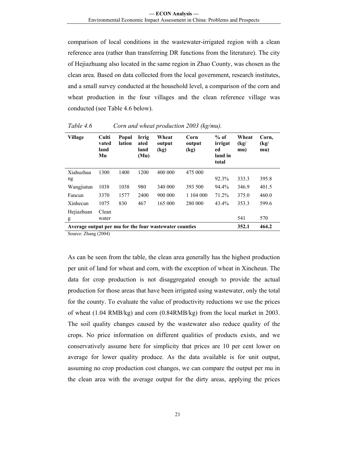comparison of local conditions in the wastewater-irrigated region with a clean reference area (rather than transferring DR functions from the literature). The city of Hejiazhuang also located in the same region in Zhao County, was chosen as the clean area. Based on data collected from the local government, research institutes, and a small survey conducted at the household level, a comparison of the corn and wheat production in the four villages and the clean reference village was conducted (see Table 4.6 below).

| <b>Village</b>                                         | Culti<br>vated<br>land<br>Mu | Popul<br>lation | Irrig<br>ated<br>land<br>(Mu) | Wheat<br>output<br>(kg) | Corn<br>output<br>(kg) | $%$ of<br>irrigat<br>ed<br>land in<br>total | Wheat<br>(kg)<br>mu) | Corn,<br>(kg)<br>mu) |
|--------------------------------------------------------|------------------------------|-----------------|-------------------------------|-------------------------|------------------------|---------------------------------------------|----------------------|----------------------|
| Xiahuzhua                                              | 1300                         | 1400            | 1200                          | 400 000                 | 475 000                |                                             |                      |                      |
| ng                                                     |                              |                 |                               |                         |                        | 92.3%                                       | 333.3                | 395.8                |
| Wangjiatun                                             | 1038                         | 1038            | 980                           | 340 000                 | 393 500                | 94.4%                                       | 346.9                | 401.5                |
| Fancun                                                 | 3370                         | 1577            | 2400                          | 900 000                 | 1 104 000              | 71.2%                                       | 375.0                | 460.0                |
| Xinhecun                                               | 1075                         | 830             | 467                           | 165 000                 | 280 000                | 43.4%                                       | 353.3                | 599.6                |
| Hejiazhuan                                             | Clean                        |                 |                               |                         |                        |                                             |                      |                      |
| g                                                      | water                        |                 |                               |                         |                        |                                             | 541                  | 570                  |
| Average output per mu for the four wastewater counties |                              |                 |                               |                         | 352.1                  | 464.2                                       |                      |                      |

Table 4.6 Corn and wheat production 2003 (kg/mu).

Source: Zhang (2004)

As can be seen from the table, the clean area generally has the highest production per unit of land for wheat and corn, with the exception of wheat in Xincheun. The data for crop production is not disaggregated enough to provide the actual production for those areas that have been irrigated using wastewater, only the total for the county. To evaluate the value of productivity reductions we use the prices of wheat (1.04 RMB/kg) and corn (0.84RMB/kg) from the local market in 2003. The soil quality changes caused by the wastewater also reduce quality of the crops. No price information on different qualities of products exists, and we conservatively assume here for simplicity that prices are 10 per cent lower on average for lower quality produce. As the data available is for unit output, assuming no crop production cost changes, we can compare the output per mu in the clean area with the average output for the dirty areas, applying the prices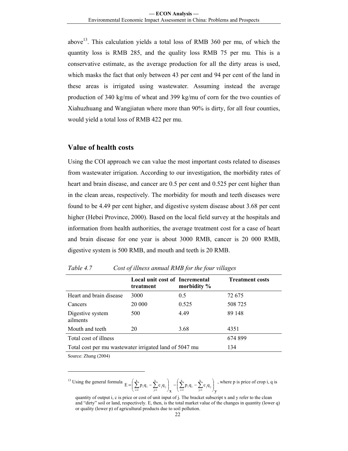above<sup>13</sup>. This calculation yields a total loss of RMB 360 per mu, of which the quantity loss is RMB 285, and the quality loss RMB 75 per mu. This is a conservative estimate, as the average production for all the dirty areas is used, which masks the fact that only between 43 per cent and 94 per cent of the land in these areas is irrigated using wastewater. Assuming instead the average production of 340 kg/mu of wheat and 399 kg/mu of corn for the two counties of Xiahuzhuang and Wangjiatun where more than 90% is dirty, for all four counties, would yield a total loss of RMB 422 per mu.

#### **Value of health costs**

Using the COI approach we can value the most important costs related to diseases from wastewater irrigation. According to our investigation, the morbidity rates of heart and brain disease, and cancer are 0.5 per cent and 0.525 per cent higher than in the clean areas, respectively. The morbidity for mouth and teeth diseases were found to be 4.49 per cent higher, and digestive system disease about 3.68 per cent higher (Hebei Province, 2000). Based on the local field survey at the hospitals and information from health authorities, the average treatment cost for a case of heart and brain disease for one year is about 3000 RMB, cancer is 20 000 RMB, digestive system is 500 RMB, and mouth and teeth is 20 RMB.

|                                                        | Local unit cost of Incremental<br>treatment | morbidity $\%$ | <b>Treatment costs</b> |
|--------------------------------------------------------|---------------------------------------------|----------------|------------------------|
| Heart and brain disease                                | 3000                                        | 0.5            | 72 675                 |
| Cancers                                                | 20 000                                      | 0.525          | 508 725                |
| Digestive system<br>ailments                           | 500                                         | 4.49           | 89 148                 |
| Mouth and teeth                                        | 20                                          | 3.68           | 4351                   |
| Total cost of illness                                  |                                             |                | 674 899                |
| Total cost per mu wastewater irrigated land of 5047 mu |                                             | 134            |                        |

Table 4.7 Cost of illness annual RMB for the four villages

Source: Zhang (2004)

<sup>&</sup>lt;sup>13</sup> Using the general formula  $E = \left(\sum_{i=1}^{k} p_i q_i - \sum_{j=1}^{k} c_j q_j\right)_X - \left(\sum_{i=1}^{k} p_i q_i - \sum_{j=1}^{k} c_j q_j\right)_Y$ , where p is price of crop i, q is

quantity of output i, c is price or cost of unit input of j. The bracket subscript x and y refer to the clean and "dirty" soil or land, respectively. E, then, is the total market value of the changes in quantity (lower q) or quality (lower p) of agricultural products due to soil pollution.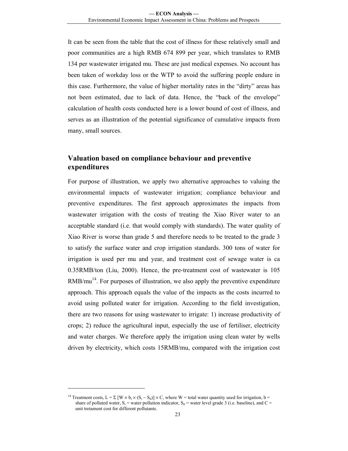It can be seen from the table that the cost of illness for these relatively small and poor communities are a high RMB 674 899 per year, which translates to RMB 134 per was tewater irrigated mu. These are just medical expenses. No account has been taken of workday loss or the WTP to avoid the suffering people endure in this case. Furthermore, the value of higher mortality rates in the "dirty" areas has not been estimated, due to lack of data. Hence, the "back of the envelope" calculation of health costs conducted here is a lower bound of cost of illness, and serves as an illustration of the potential significance of cumulative impacts from many, small sources.

### Valuation based on compliance behaviour and preventive expenditures

For purpose of illustration, we apply two alternative approaches to valuing the environmental impacts of wastewater irrigation; compliance behaviour and preventive expenditures. The first approach approximates the impacts from was tewater irrigation with the costs of treating the Xiao River water to an acceptable standard (i.e. that would comply with standards). The water quality of Xiao River is worse than grade 5 and therefore needs to be treated to the grade 3 to satisfy the surface water and crop irrigation standards. 300 tons of water for irrigation is used per mu and year, and treatment cost of sewage water is ca 0.35RMB/ton (Liu, 2000). Hence, the pre-treatment cost of wastewater is 105  $RMB/mu^{14}$ . For purposes of illustration, we also apply the preventive expenditure approach. This approach equals the value of the impacts as the costs incurred to avoid using polluted water for irrigation. According to the field investigation, there are two reasons for using was tewater to irrigate: 1) increase productivity of crops; 2) reduce the agricultural input, especially the use of fertiliser, electricity and water charges. We therefore apply the irrigation using clean water by wells driven by electricity, which costs 15RMB/mu, compared with the irrigation cost

<sup>&</sup>lt;sup>14</sup> Treatment costs, L =  $\Sigma$  [W  $\times$  b<sub>i</sub>  $\times$  (S<sub>i</sub> – S<sub>0</sub>)]  $\times$  C, where W = total water quantity used for irrigation, b = share of polluted water,  $S_i$  = water pollution indicator,  $S_0$  = water level grade 3 (i.e. baseline), and C = unit tretament cost for different pollutants.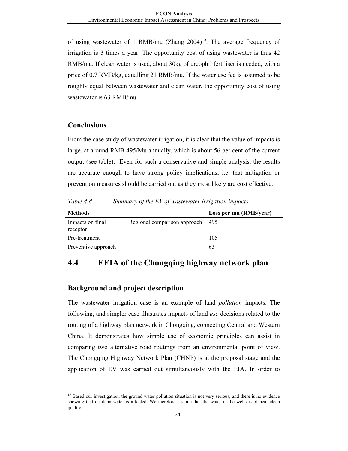of using wastewater of 1 RMB/mu (Zhang  $2004$ )<sup>15</sup>. The average frequency of irrigation is 3 times a year. The opportunity cost of using wastewater is thus 42 RMB/mu. If clean water is used, about 30kg of ureophil fertiliser is needed, with a price of 0.7 RMB/kg, equalling 21 RMB/mu. If the water use fee is assumed to be roughly equal between wastewater and clean water, the opportunity cost of using wastewater is 63 RMB/mu.

#### **Conclusions**

From the case study of was tewater irrigation, it is clear that the value of impacts is large, at around RMB 495/Mu annually, which is about 56 per cent of the current output (see table). Even for such a conservative and simple analysis, the results are accurate enough to have strong policy implications, i.e. that mitigation or prevention measures should be carried out as they most likely are cost effective.

Summary of the EV of wastewater irrigation impacts Table 4.8

| <b>Methods</b>               |                              | Loss per mu (RMB/year) |
|------------------------------|------------------------------|------------------------|
| Impacts on final<br>receptor | Regional comparison approach | 495                    |
| Pre-treatment                |                              | 105                    |
| Preventive approach          |                              | 63                     |

#### **EEIA** of the Chongqing highway network plan 4.4

### **Background and project description**

The wastewater irrigation case is an example of land *pollution* impacts. The following, and simpler case illustrates impacts of land use decisions related to the routing of a highway plan network in Chongqing, connecting Central and Western China. It demonstrates how simple use of economic principles can assist in comparing two alternative road routings from an environmental point of view. The Chongqing Highway Network Plan (CHNP) is at the proposal stage and the application of EV was carried out simultaneously with the EIA. In order to

<sup>&</sup>lt;sup>15</sup> Based our investigation, the ground water pollution situation is not very serious, and there is no evidence showing that drinking water is affected. We therefore assume that the water in the wells is of near clean quality.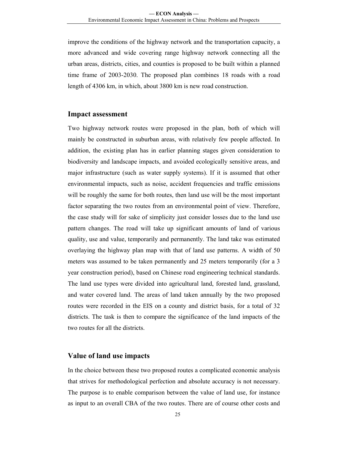improve the conditions of the highway network and the transportation capacity, a more advanced and wide covering range highway network connecting all the urban areas, districts, cities, and counties is proposed to be built within a planned time frame of 2003-2030. The proposed plan combines 18 roads with a road length of 4306 km, in which, about 3800 km is new road construction.

#### **Impact assessment**

Two highway network routes were proposed in the plan, both of which will mainly be constructed in suburban areas, with relatively few people affected. In addition, the existing plan has in earlier planning stages given consideration to biodiversity and landscape impacts, and avoided ecologically sensitive areas, and major infrastructure (such as water supply systems). If it is assumed that other environmental impacts, such as noise, accident frequencies and traffic emissions will be roughly the same for both routes, then land use will be the most important factor separating the two routes from an environmental point of view. Therefore, the case study will for sake of simplicity just consider losses due to the land use pattern changes. The road will take up significant amounts of land of various quality, use and value, temporarily and permanently. The land take was estimated overlaying the highway plan map with that of land use patterns. A width of 50 meters was assumed to be taken permanently and 25 meters temporarily (for a 3 year construction period), based on Chinese road engineering technical standards. The land use types were divided into agricultural land, forested land, grassland, and water covered land. The areas of land taken annually by the two proposed routes were recorded in the EIS on a county and district basis, for a total of 32 districts. The task is then to compare the significance of the land impacts of the two routes for all the districts.

#### Value of land use impacts

In the choice between these two proposed routes a complicated economic analysis that strives for methodological perfection and absolute accuracy is not necessary. The purpose is to enable comparison between the value of land use, for instance as input to an overall CBA of the two routes. There are of course other costs and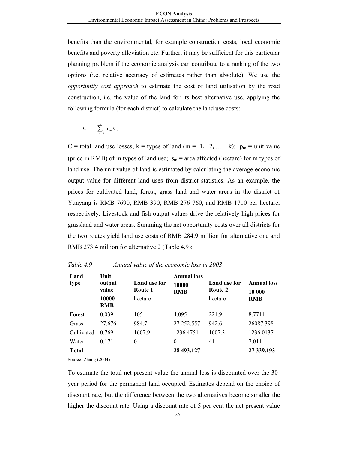benefits than the environmental, for example construction costs, local economic benefits and poverty alleviation etc. Further, it may be sufficient for this particular planning problem if the economic analysis can contribute to a ranking of the two options (i.e. relative accuracy of estimates rather than absolute). We use the opportunity cost approach to estimate the cost of land utilisation by the road construction, i.e. the value of the land for its best alternative use, applying the following formula (for each district) to calculate the land use costs:

$$
C \quad = \ \sum_{m\,=\,1}^k\, p\, \underset{m}{\ _m}\, s\, \underset{m}{\ .}
$$

C = total land use losses; k = types of land (m = 1, 2, ..., k);  $p_m$  = unit value (price in RMB) of m types of land use;  $s_m$  = area affected (hectare) for m types of land use. The unit value of land is estimated by calculating the average economic output value for different land uses from district statistics. As an example, the prices for cultivated land, forest, grass land and water areas in the district of Yunyang is RMB 7690, RMB 390, RMB 276 760, and RMB 1710 per hectare, respectively. Livestock and fish output values drive the relatively high prices for grassland and water areas. Summing the net opportunity costs over all districts for the two routes yield land use costs of RMB 284.9 million for alternative one and RMB 273.4 million for alternative 2 (Table 4.9):

| Land<br>type | Unit<br>output<br>value<br>10000<br><b>RMB</b> | Land use for<br>Route 1<br>hectare | <b>Annual loss</b><br>10000<br><b>RMB</b> | Land use for<br>Route 2<br>hectare | <b>Annual loss</b><br>10 000<br><b>RMB</b> |
|--------------|------------------------------------------------|------------------------------------|-------------------------------------------|------------------------------------|--------------------------------------------|
| Forest       | 0.039                                          | 105                                | 4.095                                     | 224.9                              | 8.7711                                     |
| Grass        | 27.676                                         | 984.7                              | 27 252 557                                | 942.6                              | 26087.398                                  |
| Cultivated   | 0.769                                          | 1607.9                             | 1236.4751                                 | 1607.3                             | 1236.0137                                  |
| Water        | 0.171                                          | $\theta$                           | $\theta$                                  | 41                                 | 7.011                                      |
| <b>Total</b> |                                                |                                    | 28 493.127                                |                                    | 27 339.193                                 |

Table 49 Annual value of the economic loss in 2003

Source: Zhang (2004)

To estimate the total net present value the annual loss is discounted over the 30year period for the permanent land occupied. Estimates depend on the choice of discount rate, but the difference between the two alternatives become smaller the higher the discount rate. Using a discount rate of 5 per cent the net present value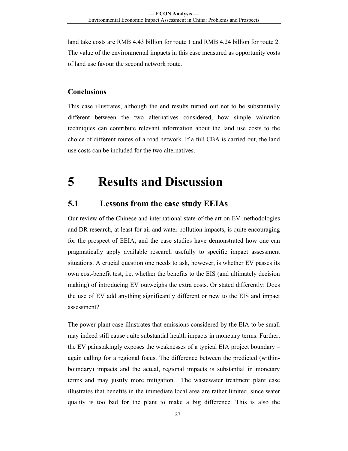land take costs are RMB 4.43 billion for route 1 and RMB 4.24 billion for route 2. The value of the environmental impacts in this case measured as opportunity costs of land use favour the second network route.

#### **Conclusions**

This case illustrates, although the end results turned out not to be substantially different between the two alternatives considered, how simple valuation techniques can contribute relevant information about the land use costs to the choice of different routes of a road network. If a full CBA is carried out, the land use costs can be included for the two alternatives.

#### 5 **Results and Discussion**

#### $5.1$ **Lessons from the case study EEIAs**

Our review of the Chinese and international state-of-the art on EV methodologies and DR research, at least for air and water pollution impacts, is quite encouraging for the prospect of EEIA, and the case studies have demonstrated how one can pragmatically apply available research usefully to specific impact assessment situations. A crucial question one needs to ask, however, is whether EV passes its own cost-benefit test, *i.e.* whether the benefits to the EIS (and ultimately decision making) of introducing EV outweighs the extra costs. Or stated differently: Does the use of EV add anything significantly different or new to the EIS and impact assessment?

The power plant case illustrates that emissions considered by the EIA to be small may indeed still cause quite substantial health impacts in monetary terms. Further, the EV painstakingly exposes the weaknesses of a typical EIA project boundary – again calling for a regional focus. The difference between the predicted (withinboundary) impacts and the actual, regional impacts is substantial in monetary terms and may justify more mitigation. The wastewater treatment plant case illustrates that benefits in the immediate local area are rather limited, since water quality is too bad for the plant to make a big difference. This is also the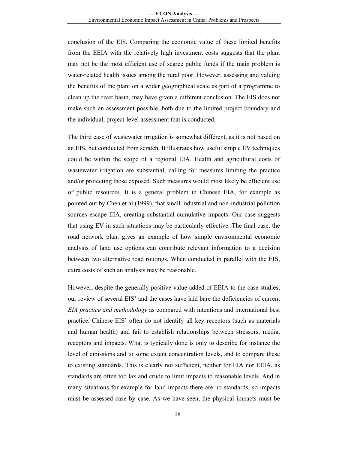conclusion of the EIS. Comparing the economic value of these limited benefits from the EEIA with the relatively high investment costs suggests that the plant may not be the most efficient use of scarce public funds if the main problem is water-related health issues among the rural poor. However, assessing and valuing the benefits of the plant on a wider geographical scale as part of a programme to clean up the river basin, may have given a different conclusion. The EIS does not make such an assessment possible, both due to the limited project boundary and the individual, project-level assessment that is conducted.

The third case of wastewater irrigation is somewhat different, as it is not based on an EIS, but conducted from scratch. It illustrates how useful simple EV techniques could be within the scope of a regional EIA. Health and agricultural costs of wastewater irrigation are substantial, calling for measures limiting the practice and/or protecting those exposed. Such measures would most likely be efficient use of public resources. It is a general problem in Chinese EIA, for example as pointed out by Chen et al (1999), that small industrial and non-industrial pollution sources escape EIA, creating substantial cumulative impacts. Our case suggests that using EV in such situations may be particularly effective. The final case, the road network plan, gives an example of how simple environmental economic analysis of land use options can contribute relevant information to a decision between two alternative road routings. When conducted in parallel with the EIS, extra costs of such an analysis may be reasonable.

However, despite the generally positive value added of EEIA to the case studies, our review of several EIS' and the cases have laid bare the deficiencies of current EIA practice and methodology as compared with intentions and international best practice. Chinese EIS' often do not identify all key receptors (such as materials and human health) and fail to establish relationships between stressors, media, receptors and impacts. What is typically done is only to describe for instance the level of emissions and to some extent concentration levels, and to compare these to existing standards. This is clearly not sufficient, neither for EIA nor EEIA, as standards are often too lax and crude to limit impacts to reasonable levels. And in many situations for example for land impacts there are no standards, so impacts must be assessed case by case. As we have seen, the physical impacts must be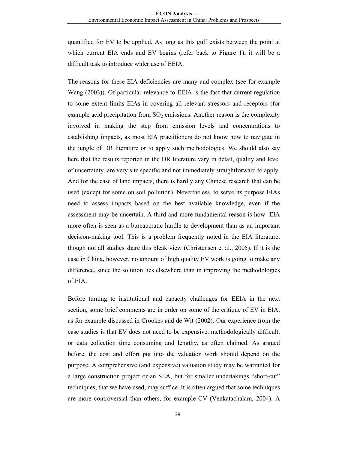quantified for EV to be applied. As long as this gulf exists between the point at which current EIA ends and EV begins (refer back to Figure 1), it will be a difficult task to introduce wider use of EEIA.

The reasons for these EIA deficiencies are many and complex (see for example Wang (2003)). Of particular relevance to EEIA is the fact that current regulation to some extent limits EIAs in covering all relevant stressors and receptors (for example acid precipitation from  $SO_2$  emissions. Another reason is the complexity involved in making the step from emission levels and concentrations to establishing impacts, as most EIA practitioners do not know how to navigate in the jungle of DR literature or to apply such methodologies. We should also say here that the results reported in the DR literature vary in detail, quality and level of uncertainty, are very site specific and not immediately straightforward to apply. And for the case of land impacts, there is hardly any Chinese research that can be used (except for some on soil pollution). Nevertheless, to serve its purpose EIAs need to assess impacts based on the best available knowledge, even if the assessment may be uncertain. A third and more fundamental reason is how EIA more often is seen as a bureaucratic hurdle to development than as an important decision-making tool. This is a problem frequently noted in the EIA literature, though not all studies share this bleak view (Christensen et al., 2005). If it is the case in China, however, no amount of high quality EV work is going to make any difference, since the solution lies elsewhere than in improving the methodologies of EIA.

Before turning to institutional and capacity challenges for EEIA in the next section, some brief comments are in order on some of the critique of EV in EIA, as for example discussed in Crookes and de Wit (2002). Our experience from the case studies is that EV does not need to be expensive, methodologically difficult, or data collection time consuming and lengthy, as often claimed. As argued before, the cost and effort put into the valuation work should depend on the purpose. A comprehensive (and expensive) valuation study may be warranted for a large construction project or an SEA, but for smaller undertakings "short-cut" techniques, that we have used, may suffice. It is often argued that some techniques are more controversial than others, for example CV (Venkatachalam, 2004). A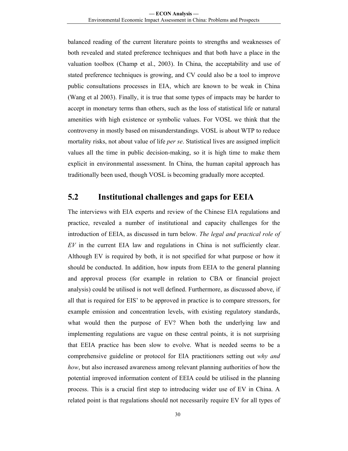balanced reading of the current literature points to strengths and weaknesses of both revealed and stated preference techniques and that both have a place in the valuation toolbox (Champ et al., 2003). In China, the acceptability and use of stated preference techniques is growing, and CV could also be a tool to improve public consultations processes in EIA, which are known to be weak in China (Wang et al 2003). Finally, it is true that some types of impacts may be harder to accept in monetary terms than others, such as the loss of statistical life or natural amenities with high existence or symbolic values. For VOSL we think that the controversy in mostly based on misunderstandings. VOSL is about WTP to reduce mortality risks, not about value of life *per se*. Statistical lives are assigned implicit values all the time in public decision-making, so it is high time to make them explicit in environmental assessment. In China, the human capital approach has traditionally been used, though VOSL is becoming gradually more accepted.

#### Institutional challenges and gaps for EEIA  $5.2$

The interviews with EIA experts and review of the Chinese EIA regulations and practice, revealed a number of institutional and capacity challenges for the introduction of EEIA, as discussed in turn below. The legal and practical role of  $EV$  in the current EIA law and regulations in China is not sufficiently clear. Although EV is required by both, it is not specified for what purpose or how it should be conducted. In addition, how inputs from EEIA to the general planning and approval process (for example in relation to CBA or financial project analysis) could be utilised is not well defined. Furthermore, as discussed above, if all that is required for EIS' to be approved in practice is to compare stressors, for example emission and concentration levels, with existing regulatory standards, what would then the purpose of EV? When both the underlying law and implementing regulations are vague on these central points, it is not surprising that EEIA practice has been slow to evolve. What is needed seems to be a comprehensive guideline or protocol for EIA practitioners setting out why and how, but also increased awareness among relevant planning authorities of how the potential improved information content of EEIA could be utilised in the planning process. This is a crucial first step to introducing wider use of EV in China. A related point is that regulations should not necessarily require EV for all types of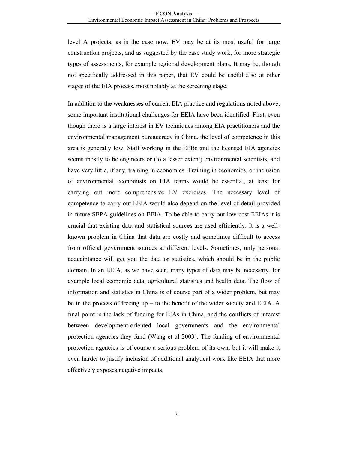level A projects, as is the case now. EV may be at its most useful for large construction projects, and as suggested by the case study work, for more strategic types of assessments, for example regional development plans. It may be, though not specifically addressed in this paper, that EV could be useful also at other stages of the EIA process, most notably at the screening stage.

In addition to the weaknesses of current EIA practice and regulations noted above, some important institutional challenges for EEIA have been identified. First, even though there is a large interest in EV techniques among EIA practitioners and the environmental management bureaucracy in China, the level of competence in this area is generally low. Staff working in the EPBs and the licensed EIA agencies seems mostly to be engineers or (to a lesser extent) environmental scientists, and have very little, if any, training in economics. Training in economics, or inclusion of environmental economists on EIA teams would be essential, at least for carrying out more comprehensive EV exercises. The necessary level of competence to carry out EEIA would also depend on the level of detail provided in future SEPA guidelines on EEIA. To be able to carry out low-cost EEIAs it is crucial that existing data and statistical sources are used efficiently. It is a wellknown problem in China that data are costly and sometimes difficult to access from official government sources at different levels. Sometimes, only personal acquaintance will get you the data or statistics, which should be in the public domain. In an EEIA, as we have seen, many types of data may be necessary, for example local economic data, agricultural statistics and health data. The flow of information and statistics in China is of course part of a wider problem, but may be in the process of freeing  $up - to$  the benefit of the wider society and EEIA. A final point is the lack of funding for EIAs in China, and the conflicts of interest between development-oriented local governments and the environmental protection agencies they fund (Wang et al 2003). The funding of environmental protection agencies is of course a serious problem of its own, but it will make it even harder to justify inclusion of additional analytical work like EEIA that more effectively exposes negative impacts.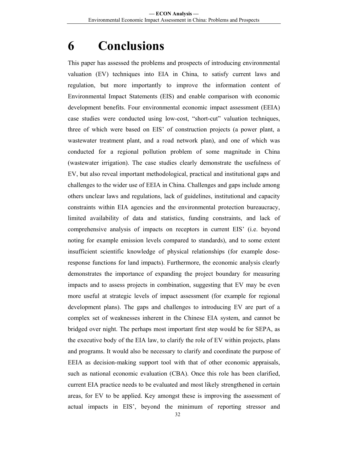#### **Conclusions** 6

This paper has assessed the problems and prospects of introducing environmental valuation (EV) techniques into EIA in China, to satisfy current laws and regulation, but more importantly to improve the information content of Environmental Impact Statements (EIS) and enable comparison with economic development benefits. Four environmental economic impact assessment (EEIA) case studies were conducted using low-cost, "short-cut" valuation techniques, three of which were based on EIS' of construction projects (a power plant, a wastewater treatment plant, and a road network plan), and one of which was conducted for a regional pollution problem of some magnitude in China (wastewater irrigation). The case studies clearly demonstrate the usefulness of EV, but also reveal important methodological, practical and institutional gaps and challenges to the wider use of EEIA in China. Challenges and gaps include among others unclear laws and regulations, lack of guidelines, institutional and capacity constraints within EIA agencies and the environmental protection bureaucracy, limited availability of data and statistics, funding constraints, and lack of comprehensive analysis of impacts on receptors in current EIS' (i.e. beyond noting for example emission levels compared to standards), and to some extent insufficient scientific knowledge of physical relationships (for example doseresponse functions for land impacts). Furthermore, the economic analysis clearly demonstrates the importance of expanding the project boundary for measuring impacts and to assess projects in combination, suggesting that EV may be even more useful at strategic levels of impact assessment (for example for regional development plans). The gaps and challenges to introducing EV are part of a complex set of weaknesses inherent in the Chinese EIA system, and cannot be bridged over night. The perhaps most important first step would be for SEPA, as the executive body of the EIA law, to clarify the role of EV within projects, plans and programs. It would also be necessary to clarify and coordinate the purpose of EEIA as decision-making support tool with that of other economic appraisals, such as national economic evaluation (CBA). Once this role has been clarified, current EIA practice needs to be evaluated and most likely strengthened in certain areas, for EV to be applied. Key amongst these is improving the assessment of actual impacts in EIS', beyond the minimum of reporting stressor and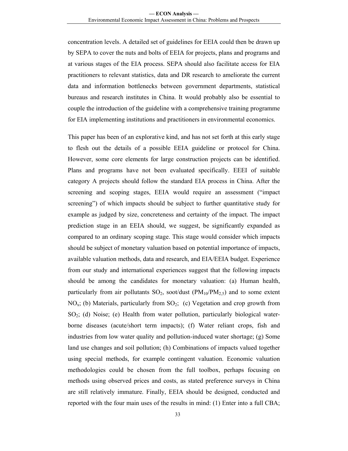concentration levels. A detailed set of guidelines for EEIA could then be drawn up by SEPA to cover the nuts and bolts of EEIA for projects, plans and programs and at various stages of the EIA process. SEPA should also facilitate access for EIA practitioners to relevant statistics, data and DR research to ameliorate the current data and information bottlenecks between government departments, statistical bureaus and research institutes in China. It would probably also be essential to couple the introduction of the guideline with a comprehensive training programme for EIA implementing institutions and practitioners in environmental economics.

This paper has been of an explorative kind, and has not set forth at this early stage to flesh out the details of a possible EEIA guideline or protocol for China. However, some core elements for large construction projects can be identified. Plans and programs have not been evaluated specifically. EEEI of suitable category A projects should follow the standard EIA process in China. After the screening and scoping stages, EEIA would require an assessment ("impact screening") of which impacts should be subject to further quantitative study for example as judged by size, concreteness and certainty of the impact. The impact prediction stage in an EEIA should, we suggest, be significantly expanded as compared to an ordinary scoping stage. This stage would consider which impacts should be subject of monetary valuation based on potential importance of impacts. available valuation methods, data and research, and EIA/EEIA budget. Experience from our study and international experiences suggest that the following impacts should be among the candidates for monetary valuation: (a) Human health, particularly from air pollutants  $SO_2$ , soot/dust ( $PM_{10}/PM_{2.5}$ ) and to some extent  $NO<sub>x</sub>$ ; (b) Materials, particularly from  $SO<sub>2</sub>$ ; (c) Vegetation and crop growth from  $SO_2$ ; (d) Noise; (e) Health from water pollution, particularly biological waterborne diseases (acute/short term impacts); (f) Water reliant crops, fish and industries from low water quality and pollution-induced water shortage; (g) Some land use changes and soil pollution; (h) Combinations of impacts valued together using special methods, for example contingent valuation. Economic valuation methodologies could be chosen from the full toolbox, perhaps focusing on methods using observed prices and costs, as stated preference surveys in China are still relatively immature. Finally, EEIA should be designed, conducted and reported with the four main uses of the results in mind: (1) Enter into a full CBA;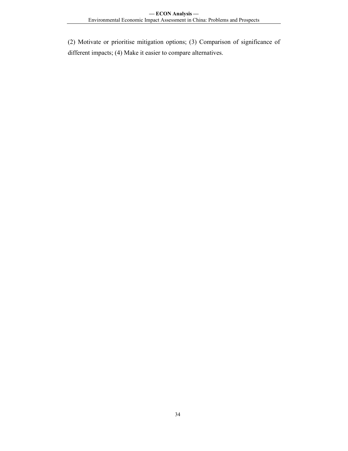(2) Motivate or prioritise mitigation options; (3) Comparison of significance of different impacts; (4) Make it easier to compare alternatives.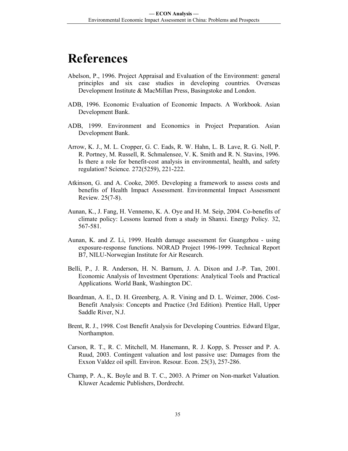# **References**

- Abelson, P., 1996. Project Appraisal and Evaluation of the Environment: general principles and six case studies in developing countries. Overseas Development Institute & MacMillan Press, Basingstoke and London.
- ADB, 1996. Economic Evaluation of Economic Impacts. A Workbook. Asian Development Bank.
- ADB, 1999. Environment and Economics in Project Preparation. Asian Development Bank.
- Arrow, K. J., M. L. Cropper, G. C. Eads, R. W. Hahn, L. B. Lave, R. G. Noll, P. R. Portney, M. Russell, R. Schmalensee, V. K. Smith and R. N. Stavins, 1996. Is there a role for benefit-cost analysis in environmental, health, and safety regulation? Science. 272(5259), 221-222.
- Atkinson, G. and A. Cooke, 2005. Developing a framework to assess costs and benefits of Health Impact Assessment. Environmental Impact Assessment Review. 25(7-8).
- Aunan, K., J. Fang, H. Vennemo, K. A. Oye and H. M. Seip, 2004. Co-benefits of climate policy: Lessons learned from a study in Shanxi. Energy Policy. 32, 567-581.
- Aunan, K. and Z. Li, 1999. Health damage assessment for Guangzhou using exposure-response functions. NORAD Project 1996-1999. Technical Report B7, NILU-Norwegian Institute for Air Research.
- Belli, P., J. R. Anderson, H. N. Barnum, J. A. Dixon and J.-P. Tan, 2001. Economic Analysis of Investment Operations: Analytical Tools and Practical Applications. World Bank, Washington DC.
- Boardman, A. E., D. H. Greenberg, A. R. Vining and D. L. Weimer, 2006. Cost-Benefit Analysis: Concepts and Practice (3rd Edition). Prentice Hall, Upper Saddle River, N.J.
- Brent, R. J., 1998. Cost Benefit Analysis for Developing Countries. Edward Elgar, Northampton.
- Carson, R. T., R. C. Mitchell, M. Hanemann, R. J. Kopp, S. Presser and P. A. Ruud, 2003. Contingent valuation and lost passive use: Damages from the Exxon Valdez oil spill. Environ. Resour. Econ. 25(3), 257-286.
- Champ, P. A., K. Boyle and B. T. C., 2003. A Primer on Non-market Valuation. Kluwer Academic Publishers, Dordrecht.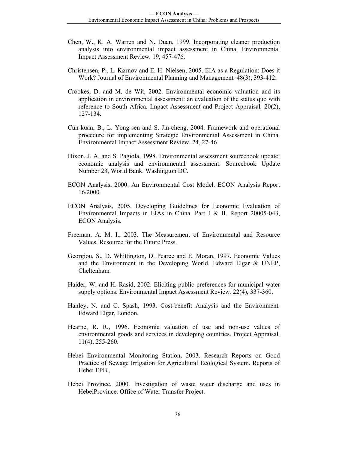- Chen, W., K. A. Warren and N. Duan, 1999. Incorporating cleaner production analysis into environmental impact assessment in China. Environmental Impact Assessment Review. 19, 457-476.
- Christensen, P., L. Kørnøv and E. H. Nielsen, 2005. EIA as a Regulation: Does it Work? Journal of Environmental Planning and Management. 48(3), 393-412.
- Crookes, D. and M. de Wit, 2002. Environmental economic valuation and its application in environmental assessment: an evaluation of the status quo with reference to South Africa. Impact Assessment and Project Appraisal. 20(2),  $127 - 134$
- Cun-kuan, B., L. Yong-sen and S. Jin-cheng, 2004. Framework and operational procedure for implementing Strategic Environmental Assessment in China. Environmental Impact Assessment Review. 24, 27-46.
- Dixon, J. A. and S. Pagiola, 1998. Environmental assessment sourcebook update: economic analysis and environmental assessment. Sourcebook Update Number 23, World Bank. Washington DC.
- ECON Analysis, 2000. An Environmental Cost Model. ECON Analysis Report  $16/2000$ .
- ECON Analysis, 2005. Developing Guidelines for Economic Evaluation of Environmental Impacts in EIAs in China. Part I & II. Report 20005-043, **ECON** Analysis.
- Freeman, A. M. I., 2003. The Measurement of Environmental and Resource Values. Resource for the Future Press.
- Georgiou, S., D. Whittington, D. Pearce and E. Moran, 1997. Economic Values and the Environment in the Developing World. Edward Elgar & UNEP, Cheltenham.
- Haider, W. and H. Rasid, 2002. Eliciting public preferences for municipal water supply options. Environmental Impact Assessment Review. 22(4), 337-360.
- Hanley, N. and C. Spash, 1993. Cost-benefit Analysis and the Environment. Edward Elgar, London.
- Hearne, R. R., 1996. Economic valuation of use and non-use values of environmental goods and services in developing countries. Project Appraisal.  $11(4)$ , 255-260.
- Hebei Environmental Monitoring Station, 2003. Research Reports on Good Practice of Sewage Irrigation for Agricultural Ecological System. Reports of Hebei EPB.,
- Hebei Province, 2000. Investigation of waste water discharge and uses in HebeiProvince. Office of Water Transfer Project.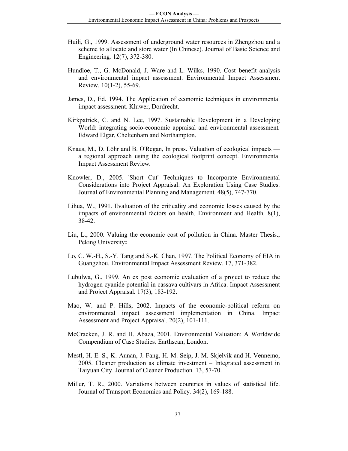- Huili, G., 1999. Assessment of underground water resources in Zhengzhou and a scheme to allocate and store water (In Chinese). Journal of Basic Science and Engineering. 12(7), 372-380.
- Hundloe, T., G. McDonald, J. Ware and L. Wilks, 1990. Cost-benefit analysis and environmental impact assessment. Environmental Impact Assessment Review. 10(1-2), 55-69.
- James, D., Ed. 1994. The Application of economic techniques in environmental impact assessment. Kluwer, Dordrecht.
- Kirkpatrick, C. and N. Lee, 1997. Sustainable Development in a Developing World: integrating socio-economic appraisal and environmental assessment. Edward Elgar, Cheltenham and Northampton.
- Knaus, M., D. Löhr and B. O'Regan, In press. Valuation of ecological impacts a regional approach using the ecological footprint concept. Environmental **Impact Assessment Review.**
- Knowler, D., 2005. 'Short Cut' Techniques to Incorporate Environmental Considerations into Project Appraisal: An Exploration Using Case Studies. Journal of Environmental Planning and Management. 48(5), 747-770.
- Lihua, W., 1991. Evaluation of the criticality and economic losses caused by the impacts of environmental factors on health. Environment and Health. 8(1),  $38-42.$
- Liu, L., 2000. Valuing the economic cost of pollution in China. Master Thesis., Peking University:
- Lo, C. W.-H., S.-Y. Tang and S.-K. Chan, 1997. The Political Economy of EIA in Guangzhou. Environmental Impact Assessment Review. 17, 371-382.
- Lubulwa, G., 1999. An ex post economic evaluation of a project to reduce the hydrogen cyanide potential in cassava cultivars in Africa. Impact Assessment and Project Appraisal. 17(3), 183-192.
- Mao, W. and P. Hills, 2002. Impacts of the economic-political reform on environmental impact assessment implementation in China. Impact Assessment and Project Appraisal. 20(2), 101-111.
- McCracken, J. R. and H. Abaza, 2001. Environmental Valuation: A Worldwide Compendium of Case Studies. Earthscan, London.
- Mestl, H. E. S., K. Aunan, J. Fang, H. M. Seip, J. M. Skjelvik and H. Vennemo, 2005. Cleaner production as climate investment - Integrated assessment in Taiyuan City. Journal of Cleaner Production. 13, 57-70.
- Miller, T. R., 2000. Variations between countries in values of statistical life. Journal of Transport Economics and Policy. 34(2), 169-188.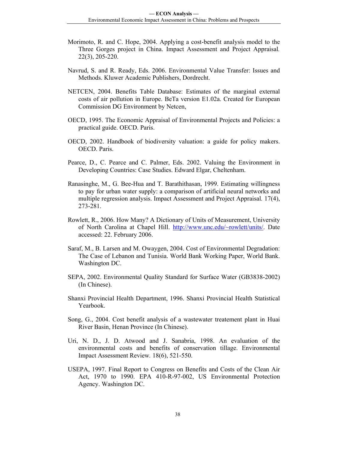- Morimoto, R. and C. Hope, 2004. Applying a cost-benefit analysis model to the Three Gorges project in China. Impact Assessment and Project Appraisal.  $22(3)$ ,  $205-220$ .
- Navrud, S. and R. Ready, Eds. 2006. Environmental Value Transfer: Issues and Methods. Kluwer Academic Publishers, Dordrecht.
- NETCEN, 2004. Benefits Table Database: Estimates of the marginal external costs of air pollution in Europe. BeTa version E1.02a. Created for European Commission DG Environment by Netcen,
- OECD, 1995. The Economic Appraisal of Environmental Projects and Policies: a practical guide. OECD. Paris.
- OECD, 2002. Handbook of biodiversity valuation: a guide for policy makers. OECD. Paris.
- Pearce, D., C. Pearce and C. Palmer, Eds. 2002. Valuing the Environment in Developing Countries: Case Studies. Edward Elgar, Cheltenham.
- Ranasinghe, M., G. Bee-Hua and T. Barathithasan, 1999. Estimating willingness to pay for urban water supply: a comparison of artificial neural networks and multiple regression analysis. Impact Assessment and Project Appraisal. 17(4),  $273 - 281$
- Rowlett, R., 2006. How Many? A Dictionary of Units of Measurement, University of North Carolina at Chapel Hill. http://www.unc.edu/~rowlett/units/. Date accessed: 22. February 2006.
- Saraf, M., B. Larsen and M. Owaygen, 2004. Cost of Environmental Degradation: The Case of Lebanon and Tunisia. World Bank Working Paper, World Bank. Washington DC.
- SEPA, 2002. Environmental Quality Standard for Surface Water (GB3838-2002) (In Chinese).
- Shanxi Provincial Health Department, 1996. Shanxi Provincial Health Statistical Yearbook.
- Song, G., 2004. Cost benefit analysis of a wastewater treatement plant in Huai River Basin, Henan Province (In Chinese).
- Uri, N. D., J. D. Atwood and J. Sanabria, 1998. An evaluation of the environmental costs and benefits of conservation tillage. Environmental Impact Assessment Review. 18(6), 521-550.
- USEPA, 1997. Final Report to Congress on Benefits and Costs of the Clean Air Act, 1970 to 1990. EPA 410-R-97-002, US Environmental Protection Agency. Washington DC.